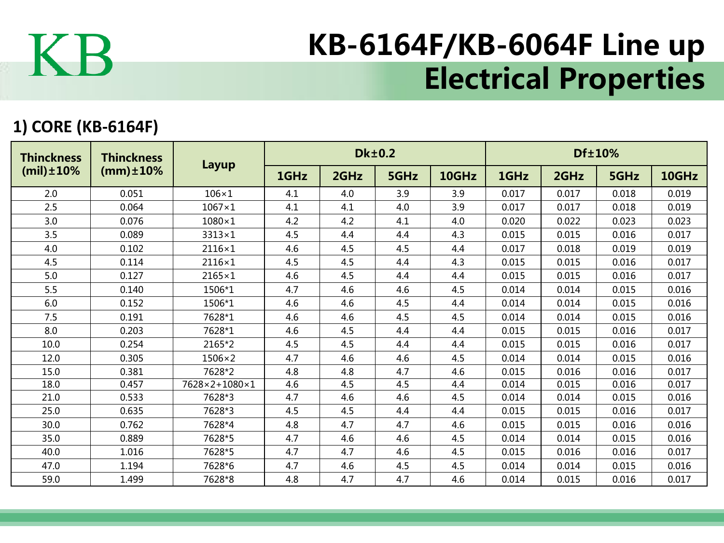

## KB-6164F/KB-6064F Line up Electrical Properties

## **1) CORE (KB-6164F)**

| <b>Thinckness</b><br>$(mil) \pm 10\%$ | <b>Thinckness</b><br>$(mm) \pm 10\%$ | Layup         |      |      | <b>Dk±0.2</b> |       | Df±10% |       |       |       |  |
|---------------------------------------|--------------------------------------|---------------|------|------|---------------|-------|--------|-------|-------|-------|--|
|                                       |                                      |               | 1GHz | 2GHz | 5GHz          | 10GHz | 1GHz   | 2GHz  | 5GHz  | 10GHz |  |
| 2.0                                   | 0.051                                | $106\times1$  | 4.1  | 4.0  | 3.9           | 3.9   | 0.017  | 0.017 | 0.018 | 0.019 |  |
| 2.5                                   | 0.064                                | $1067\times1$ | 4.1  | 4.1  | 4.0           | 3.9   | 0.017  | 0.017 | 0.018 | 0.019 |  |
| 3.0                                   | 0.076                                | $1080\times1$ | 4.2  | 4.2  | 4.1           | 4.0   | 0.020  | 0.022 | 0.023 | 0.023 |  |
| 3.5                                   | 0.089                                | $3313\times1$ | 4.5  | 4.4  | 4.4           | 4.3   | 0.015  | 0.015 | 0.016 | 0.017 |  |
| 4.0                                   | 0.102                                | $2116\times1$ | 4.6  | 4.5  | 4.5           | 4.4   | 0.017  | 0.018 | 0.019 | 0.019 |  |
| 4.5                                   | 0.114                                | $2116\times1$ | 4.5  | 4.5  | 4.4           | 4.3   | 0.015  | 0.015 | 0.016 | 0.017 |  |
| 5.0                                   | 0.127                                | $2165\times1$ | 4.6  | 4.5  | 4.4           | 4.4   | 0.015  | 0.015 | 0.016 | 0.017 |  |
| 5.5                                   | 0.140                                | 1506*1        | 4.7  | 4.6  | 4.6           | 4.5   | 0.014  | 0.014 | 0.015 | 0.016 |  |
| 6.0                                   | 0.152                                | 1506*1        | 4.6  | 4.6  | 4.5           | 4.4   | 0.014  | 0.014 | 0.015 | 0.016 |  |
| 7.5                                   | 0.191                                | 7628*1        | 4.6  | 4.6  | 4.5           | 4.5   | 0.014  | 0.014 | 0.015 | 0.016 |  |
| 8.0                                   | 0.203                                | 7628*1        | 4.6  | 4.5  | 4.4           | 4.4   | 0.015  | 0.015 | 0.016 | 0.017 |  |
| 10.0                                  | 0.254                                | 2165*2        | 4.5  | 4.5  | 4.4           | 4.4   | 0.015  | 0.015 | 0.016 | 0.017 |  |
| 12.0                                  | 0.305                                | $1506\times2$ | 4.7  | 4.6  | 4.6           | 4.5   | 0.014  | 0.014 | 0.015 | 0.016 |  |
| 15.0                                  | 0.381                                | 7628*2        | 4.8  | 4.8  | 4.7           | 4.6   | 0.015  | 0.016 | 0.016 | 0.017 |  |
| 18.0                                  | 0.457                                | 7628×2+1080×1 | 4.6  | 4.5  | 4.5           | 4.4   | 0.014  | 0.015 | 0.016 | 0.017 |  |
| 21.0                                  | 0.533                                | 7628*3        | 4.7  | 4.6  | 4.6           | 4.5   | 0.014  | 0.014 | 0.015 | 0.016 |  |
| 25.0                                  | 0.635                                | 7628*3        | 4.5  | 4.5  | 4.4           | 4.4   | 0.015  | 0.015 | 0.016 | 0.017 |  |
| 30.0                                  | 0.762                                | 7628*4        | 4.8  | 4.7  | 4.7           | 4.6   | 0.015  | 0.015 | 0.016 | 0.016 |  |
| 35.0                                  | 0.889                                | 7628*5        | 4.7  | 4.6  | 4.6           | 4.5   | 0.014  | 0.014 | 0.015 | 0.016 |  |
| 40.0                                  | 1.016                                | 7628*5        | 4.7  | 4.7  | 4.6           | 4.5   | 0.015  | 0.016 | 0.016 | 0.017 |  |
| 47.0                                  | 1.194                                | 7628*6        | 4.7  | 4.6  | 4.5           | 4.5   | 0.014  | 0.014 | 0.015 | 0.016 |  |
| 59.0                                  | 1.499                                | 7628*8        | 4.8  | 4.7  | 4.7           | 4.6   | 0.014  | 0.015 | 0.016 | 0.017 |  |